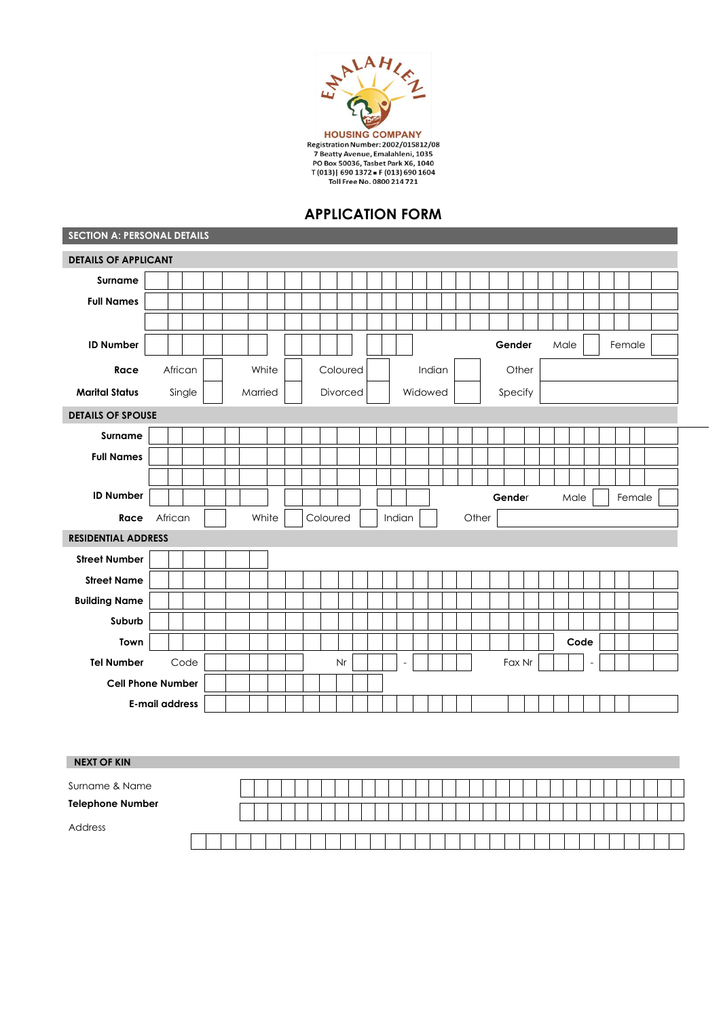

## **APPLICATION FORM**

and the control of the control of

**SECTION A: PERSONAL DETAILS**

| <b>DETAILS OF APPLICANT</b> |                |        |  |  |         |  |  |  |          |          |  |  |        |         |  |       |         |  |      |      |  |        |  |
|-----------------------------|----------------|--------|--|--|---------|--|--|--|----------|----------|--|--|--------|---------|--|-------|---------|--|------|------|--|--------|--|
| Surname                     |                |        |  |  |         |  |  |  |          |          |  |  |        |         |  |       |         |  |      |      |  |        |  |
| <b>Full Names</b>           |                |        |  |  |         |  |  |  |          |          |  |  |        |         |  |       |         |  |      |      |  |        |  |
|                             |                |        |  |  |         |  |  |  |          |          |  |  |        |         |  |       |         |  |      |      |  |        |  |
| <b>ID Number</b>            |                |        |  |  |         |  |  |  |          |          |  |  |        |         |  |       | Gender  |  | Male |      |  | Female |  |
| Race                        | African        |        |  |  | White   |  |  |  |          | Coloured |  |  |        | Indian  |  |       | Other   |  |      |      |  |        |  |
| <b>Marital Status</b>       |                | Single |  |  | Married |  |  |  |          | Divorced |  |  |        | Widowed |  |       | Specify |  |      |      |  |        |  |
| <b>DETAILS OF SPOUSE</b>    |                |        |  |  |         |  |  |  |          |          |  |  |        |         |  |       |         |  |      |      |  |        |  |
| Surname                     |                |        |  |  |         |  |  |  |          |          |  |  |        |         |  |       |         |  |      |      |  |        |  |
| <b>Full Names</b>           |                |        |  |  |         |  |  |  |          |          |  |  |        |         |  |       |         |  |      |      |  |        |  |
|                             |                |        |  |  |         |  |  |  |          |          |  |  |        |         |  |       |         |  |      |      |  |        |  |
| <b>ID Number</b>            |                |        |  |  |         |  |  |  |          |          |  |  |        |         |  |       | Gender  |  |      | Male |  | Female |  |
| Race                        | African        |        |  |  | White   |  |  |  | Coloured |          |  |  | Indian |         |  | Other |         |  |      |      |  |        |  |
| <b>RESIDENTIAL ADDRESS</b>  |                |        |  |  |         |  |  |  |          |          |  |  |        |         |  |       |         |  |      |      |  |        |  |
| <b>Street Number</b>        |                |        |  |  |         |  |  |  |          |          |  |  |        |         |  |       |         |  |      |      |  |        |  |
| <b>Street Name</b>          |                |        |  |  |         |  |  |  |          |          |  |  |        |         |  |       |         |  |      |      |  |        |  |
| <b>Building Name</b>        |                |        |  |  |         |  |  |  |          |          |  |  |        |         |  |       |         |  |      |      |  |        |  |
| Suburb                      |                |        |  |  |         |  |  |  |          |          |  |  |        |         |  |       |         |  |      |      |  |        |  |
| Town                        |                |        |  |  |         |  |  |  |          |          |  |  |        |         |  |       |         |  |      | Code |  |        |  |
| <b>Tel Number</b>           |                | Code   |  |  |         |  |  |  |          | Nr       |  |  |        |         |  |       | Fax Nr  |  |      |      |  |        |  |
| <b>Cell Phone Number</b>    |                |        |  |  |         |  |  |  |          |          |  |  |        |         |  |       |         |  |      |      |  |        |  |
|                             | E-mail address |        |  |  |         |  |  |  |          |          |  |  |        |         |  |       |         |  |      |      |  |        |  |
|                             |                |        |  |  |         |  |  |  |          |          |  |  |        |         |  |       |         |  |      |      |  |        |  |
|                             |                |        |  |  |         |  |  |  |          |          |  |  |        |         |  |       |         |  |      |      |  |        |  |
| <b>NEXT OF KIN</b>          |                |        |  |  |         |  |  |  |          |          |  |  |        |         |  |       |         |  |      |      |  |        |  |
| Surname & Name              |                |        |  |  |         |  |  |  |          |          |  |  |        |         |  |       |         |  |      |      |  |        |  |
| <b>Telephone Number</b>     |                |        |  |  |         |  |  |  |          |          |  |  |        |         |  |       |         |  |      |      |  |        |  |
| Address                     |                |        |  |  |         |  |  |  |          |          |  |  |        |         |  |       |         |  |      |      |  |        |  |
|                             |                |        |  |  |         |  |  |  |          |          |  |  |        |         |  |       |         |  |      |      |  |        |  |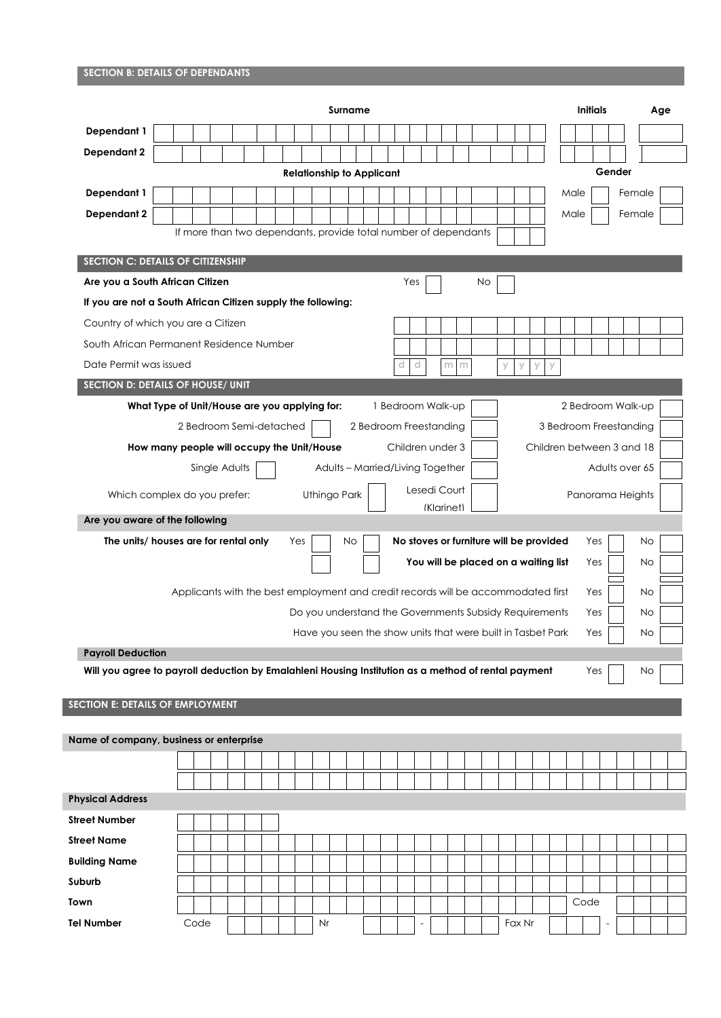### **SECTION B: DETAILS OF DEPENDANTS**

|                                                                                                     |                                                                                   |  |               |  |     |  |  | Surname                                                     |  |  |  |                                         |            |  |  |  |      | <b>Initials</b> |                        |     | Age |
|-----------------------------------------------------------------------------------------------------|-----------------------------------------------------------------------------------|--|---------------|--|-----|--|--|-------------------------------------------------------------|--|--|--|-----------------------------------------|------------|--|--|--|------|-----------------|------------------------|-----|-----|
| <b>Dependant 1</b>                                                                                  |                                                                                   |  |               |  |     |  |  |                                                             |  |  |  |                                         |            |  |  |  |      |                 |                        |     |     |
| Dependant 2                                                                                         |                                                                                   |  |               |  |     |  |  |                                                             |  |  |  |                                         |            |  |  |  |      |                 |                        |     |     |
|                                                                                                     | Gender<br><b>Relationship to Applicant</b>                                        |  |               |  |     |  |  |                                                             |  |  |  |                                         |            |  |  |  |      |                 |                        |     |     |
| <b>Dependant 1</b>                                                                                  |                                                                                   |  |               |  |     |  |  |                                                             |  |  |  |                                         |            |  |  |  | Male |                 | Female                 |     |     |
| Dependant 2                                                                                         |                                                                                   |  |               |  |     |  |  |                                                             |  |  |  |                                         |            |  |  |  | Male |                 | Female                 |     |     |
|                                                                                                     | If more than two dependants, provide total number of dependants                   |  |               |  |     |  |  |                                                             |  |  |  |                                         |            |  |  |  |      |                 |                        |     |     |
| <b>SECTION C: DETAILS OF CITIZENSHIP</b>                                                            |                                                                                   |  |               |  |     |  |  |                                                             |  |  |  |                                         |            |  |  |  |      |                 |                        |     |     |
| Are you a South African Citizen<br>Yes<br>No                                                        |                                                                                   |  |               |  |     |  |  |                                                             |  |  |  |                                         |            |  |  |  |      |                 |                        |     |     |
| If you are not a South African Citizen supply the following:                                        |                                                                                   |  |               |  |     |  |  |                                                             |  |  |  |                                         |            |  |  |  |      |                 |                        |     |     |
| Country of which you are a Citizen                                                                  |                                                                                   |  |               |  |     |  |  |                                                             |  |  |  |                                         |            |  |  |  |      |                 |                        |     |     |
| South African Permanent Residence Number                                                            |                                                                                   |  |               |  |     |  |  |                                                             |  |  |  |                                         |            |  |  |  |      |                 |                        |     |     |
| Date Permit was issued<br>d<br>d<br>m<br>У<br>y<br>V<br>m<br>У                                      |                                                                                   |  |               |  |     |  |  |                                                             |  |  |  |                                         |            |  |  |  |      |                 |                        |     |     |
| SECTION D: DETAILS OF HOUSE/ UNIT                                                                   |                                                                                   |  |               |  |     |  |  |                                                             |  |  |  |                                         |            |  |  |  |      |                 |                        |     |     |
| What Type of Unit/House are you applying for:<br>1 Bedroom Walk-up<br>2 Bedroom Walk-up             |                                                                                   |  |               |  |     |  |  |                                                             |  |  |  |                                         |            |  |  |  |      |                 |                        |     |     |
|                                                                                                     | 2 Bedroom Semi-detached                                                           |  |               |  |     |  |  |                                                             |  |  |  | 2 Bedroom Freestanding                  |            |  |  |  |      |                 | 3 Bedroom Freestanding |     |     |
| Children under 3<br>Children between 3 and 18<br>How many people will occupy the Unit/House         |                                                                                   |  |               |  |     |  |  |                                                             |  |  |  |                                         |            |  |  |  |      |                 |                        |     |     |
|                                                                                                     |                                                                                   |  | Single Adults |  |     |  |  | Adults - Married/Living Together                            |  |  |  |                                         |            |  |  |  |      |                 | Adults over 65         |     |     |
| Which complex do you prefer:                                                                        |                                                                                   |  |               |  |     |  |  | Uthingo Park                                                |  |  |  | Lesedi Court                            | (Klarinet) |  |  |  |      |                 | Panorama Heights       |     |     |
| Are you aware of the following                                                                      |                                                                                   |  |               |  |     |  |  |                                                             |  |  |  |                                         |            |  |  |  |      |                 |                        |     |     |
| The units/ houses are for rental only                                                               |                                                                                   |  |               |  | Yes |  |  | No                                                          |  |  |  | No stoves or furniture will be provided |            |  |  |  |      | Yes             |                        | No  |     |
|                                                                                                     |                                                                                   |  |               |  |     |  |  |                                                             |  |  |  | You will be placed on a waiting list    |            |  |  |  |      | Yes             |                        | No  |     |
|                                                                                                     | Applicants with the best employment and credit records will be accommodated first |  |               |  |     |  |  |                                                             |  |  |  |                                         |            |  |  |  |      | Yes             |                        | No  |     |
|                                                                                                     |                                                                                   |  |               |  |     |  |  | Do you understand the Governments Subsidy Requirements      |  |  |  |                                         |            |  |  |  |      | Yes             |                        | No  |     |
|                                                                                                     |                                                                                   |  |               |  |     |  |  | Have you seen the show units that were built in Tasbet Park |  |  |  |                                         |            |  |  |  |      | Yes             |                        | No  |     |
| <b>Payroll Deduction</b>                                                                            |                                                                                   |  |               |  |     |  |  |                                                             |  |  |  |                                         |            |  |  |  |      |                 |                        |     |     |
| Will you agree to payroll deduction by Emalahleni Housing Institution as a method of rental payment |                                                                                   |  |               |  |     |  |  |                                                             |  |  |  |                                         |            |  |  |  |      | Yes             |                        | No. |     |
|                                                                                                     |                                                                                   |  |               |  |     |  |  |                                                             |  |  |  |                                         |            |  |  |  |      |                 |                        |     |     |
| SECTION E: DETAILS OF EMPLOYMENT                                                                    |                                                                                   |  |               |  |     |  |  |                                                             |  |  |  |                                         |            |  |  |  |      |                 |                        |     |     |
| Name of company, business or enterprise                                                             |                                                                                   |  |               |  |     |  |  |                                                             |  |  |  |                                         |            |  |  |  |      |                 |                        |     |     |
|                                                                                                     |                                                                                   |  |               |  |     |  |  |                                                             |  |  |  |                                         |            |  |  |  |      |                 |                        |     |     |
|                                                                                                     |                                                                                   |  |               |  |     |  |  |                                                             |  |  |  |                                         |            |  |  |  |      |                 |                        |     |     |
| <b>Physical Address</b>                                                                             |                                                                                   |  |               |  |     |  |  |                                                             |  |  |  |                                         |            |  |  |  |      |                 |                        |     |     |
| <b>Street Number</b>                                                                                |                                                                                   |  |               |  |     |  |  |                                                             |  |  |  |                                         |            |  |  |  |      |                 |                        |     |     |
| <b>Street Name</b>                                                                                  |                                                                                   |  |               |  |     |  |  |                                                             |  |  |  |                                         |            |  |  |  |      |                 |                        |     |     |
| <b>Building Name</b>                                                                                |                                                                                   |  |               |  |     |  |  |                                                             |  |  |  |                                         |            |  |  |  |      |                 |                        |     |     |
| Suburb                                                                                              |                                                                                   |  |               |  |     |  |  |                                                             |  |  |  |                                         |            |  |  |  |      |                 |                        |     |     |
| Town                                                                                                |                                                                                   |  |               |  |     |  |  |                                                             |  |  |  |                                         |            |  |  |  |      | Code            |                        |     |     |

**Tel Number** Code Nr - Fax Nr -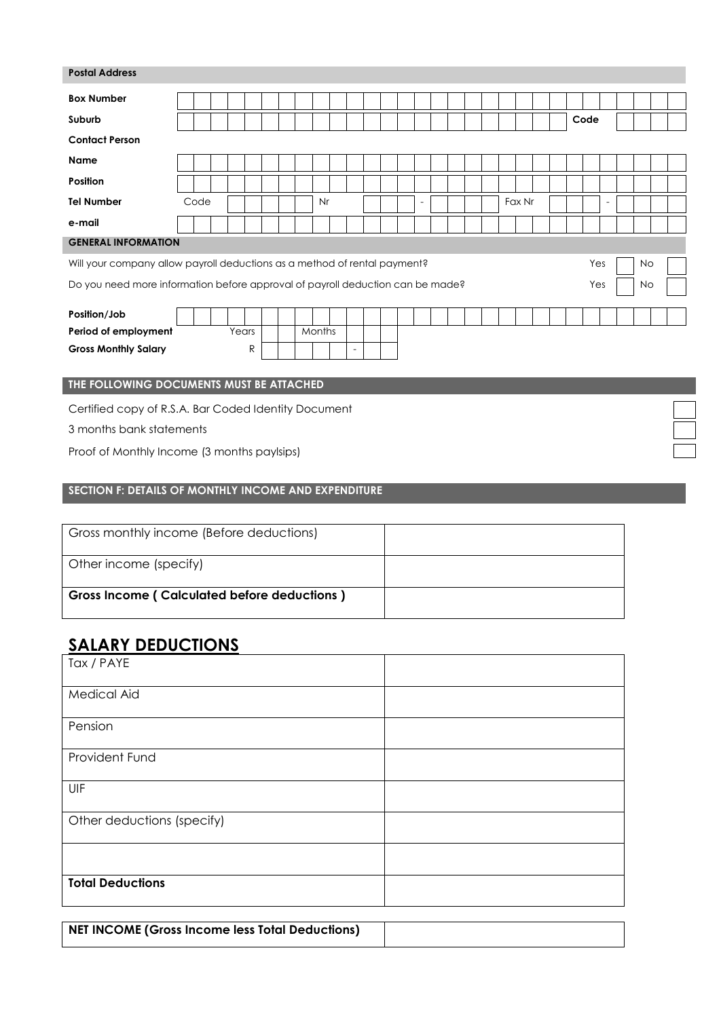| <b>Postal Address</b>       |                                                                                |                          |  |  |  |  |  |  |  |  |
|-----------------------------|--------------------------------------------------------------------------------|--------------------------|--|--|--|--|--|--|--|--|
| <b>Box Number</b>           |                                                                                |                          |  |  |  |  |  |  |  |  |
| Suburb                      |                                                                                | Code                     |  |  |  |  |  |  |  |  |
| <b>Contact Person</b>       |                                                                                |                          |  |  |  |  |  |  |  |  |
| Name                        |                                                                                |                          |  |  |  |  |  |  |  |  |
| Position                    |                                                                                |                          |  |  |  |  |  |  |  |  |
| <b>Tel Number</b>           | Code<br>Fax Nr<br>Nr<br>$\overline{\phantom{a}}$                               | $\overline{\phantom{a}}$ |  |  |  |  |  |  |  |  |
| e-mail                      |                                                                                |                          |  |  |  |  |  |  |  |  |
| <b>GENERAL INFORMATION</b>  |                                                                                |                          |  |  |  |  |  |  |  |  |
|                             | Will your company allow payroll deductions as a method of rental payment?      | Yes<br>No                |  |  |  |  |  |  |  |  |
|                             | Do you need more information before approval of payroll deduction can be made? | Yes<br>No                |  |  |  |  |  |  |  |  |
| Position/Job                |                                                                                |                          |  |  |  |  |  |  |  |  |
| Period of employment        | Months<br>Years                                                                |                          |  |  |  |  |  |  |  |  |
| <b>Gross Monthly Salary</b> | R<br>$\overline{\phantom{a}}$                                                  |                          |  |  |  |  |  |  |  |  |
|                             |                                                                                |                          |  |  |  |  |  |  |  |  |

### **THE FOLLOWING DOCUMENTS MUST BE ATTACHED**

Certified copy of R.S.A. Bar Coded Identity Document

3 months bank statements

Proof of Monthly Income (3 months paylsips)

## **SECTION F: DETAILS OF MONTHLY INCOME AND EXPENDITURE**

| Gross monthly income (Before deductions)           |  |
|----------------------------------------------------|--|
| Other income (specify)                             |  |
| <b>Gross Income (Calculated before deductions)</b> |  |

# **SALARY DEDUCTIONS**

| Tax / PAYE                 |  |
|----------------------------|--|
| Medical Aid                |  |
| Pension                    |  |
| Provident Fund             |  |
| UIF                        |  |
| Other deductions (specify) |  |
|                            |  |
| <b>Total Deductions</b>    |  |
|                            |  |

**NET INCOME (Gross Income less Total Deductions)**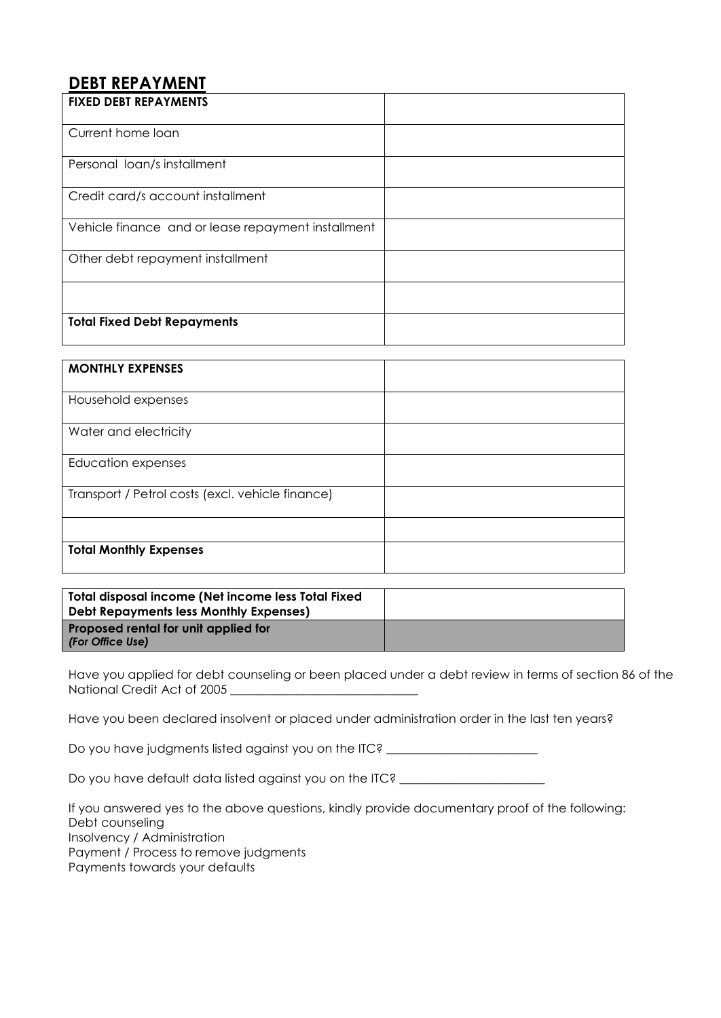# **DEBT REPAYMENT**

| <b>FIXED DEBT REPAYMENTS</b>                       |  |
|----------------------------------------------------|--|
| Current home loan                                  |  |
| Personal loan/s installment                        |  |
| Credit card/s account installment                  |  |
| Vehicle finance and or lease repayment installment |  |
| Other debt repayment installment                   |  |
|                                                    |  |
| <b>Total Fixed Debt Repayments</b>                 |  |

| <b>MONTHLY EXPENSES</b>                          |  |
|--------------------------------------------------|--|
| Household expenses                               |  |
| Water and electricity                            |  |
| Education expenses                               |  |
| Transport / Petrol costs (excl. vehicle finance) |  |
|                                                  |  |
| <b>Total Monthly Expenses</b>                    |  |

| Total disposal income (Net income less Total Fixed<br><b>Debt Repayments less Monthly Expenses)</b> |  |
|-----------------------------------------------------------------------------------------------------|--|
| Proposed rental for unit applied for<br>(For Office Use)                                            |  |

Have you applied for debt counseling or been placed under a debt review in terms of section 86 of the National Credit Act of 2005

Have you been declared insolvent or placed under administration order in the last ten years?

Do you have judgments listed against you on the ITC? \_\_\_\_\_\_\_\_\_\_\_\_\_\_\_\_\_\_\_\_\_\_\_\_\_\_\_

Do you have default data listed against you on the ITC? \_\_\_\_\_\_\_\_\_\_\_\_\_\_\_\_\_\_\_\_\_\_\_\_

If you answered yes to the above questions, kindly provide documentary proof of the following: Debt counseling Insolvency / Administration Payment / Process to remove judgments Payments towards your defaults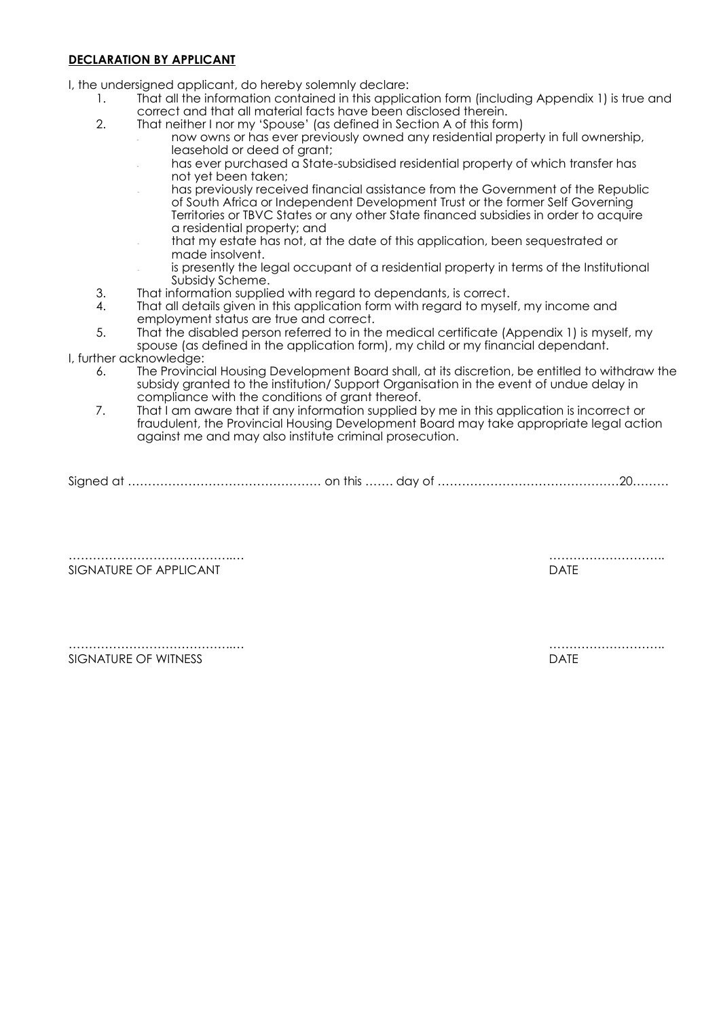### **DECLARATION BY APPLICANT**

I, the undersigned applicant, do hereby solemnly declare:

- 1. That all the information contained in this application form (including Appendix 1) is true and correct and that all material facts have been disclosed therein.
- 2. That neither I nor my 'Spouse' (as defined in Section A of this form)
	- now owns or has ever previously owned any residential property in full ownership, leasehold or deed of grant;
	- has ever purchased a State-subsidised residential property of which transfer has not yet been taken;
	- has previously received financial assistance from the Government of the Republic of South Africa or Independent Development Trust or the former Self Governing Territories or TBVC States or any other State financed subsidies in order to acquire a residential property; and
	- that my estate has not, at the date of this application, been sequestrated or made insolvent.
	- is presently the legal occupant of a residential property in terms of the Institutional Subsidy Scheme.
- 3. That information supplied with regard to dependants, is correct.
- 4. That all details given in this application form with regard to myself, my income and employment status are true and correct.
- 5. That the disabled person referred to in the medical certificate (Appendix 1) is myself, my spouse (as defined in the application form), my child or my financial dependant.

#### I, further acknowledge:

- 6. The Provincial Housing Development Board shall, at its discretion, be entitled to withdraw the subsidy granted to the institution/ Support Organisation in the event of undue delay in compliance with the conditions of grant thereof.
- 7. That I am aware that if any information supplied by me in this application is incorrect or fraudulent, the Provincial Housing Development Board may take appropriate legal action against me and may also institute criminal prosecution.

Signed at ………………………………………… on this ……. day of ………………………………………20………

SIGNATURE OF APPLICANT **DATE** 

…………………………………..… ………………………..

…………………………………..… ……………………….. SIGNATURE OF WITNESS **DATE**